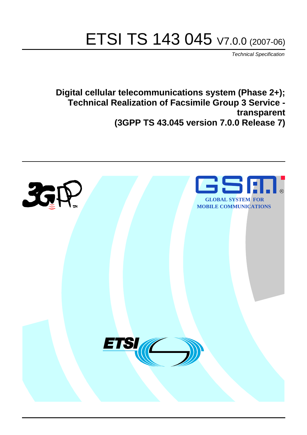# ETSI TS 143 045 V7.0.0 (2007-06)

*Technical Specification*

**Digital cellular telecommunications system (Phase 2+); Technical Realization of Facsimile Group 3 Service transparent (3GPP TS 43.045 version 7.0.0 Release 7)**

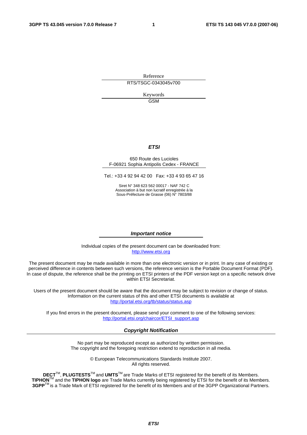Reference RTS/TSGC-0343045v700

> Keywords GSM

#### *ETSI*

#### 650 Route des Lucioles F-06921 Sophia Antipolis Cedex - FRANCE

Tel.: +33 4 92 94 42 00 Fax: +33 4 93 65 47 16

Siret N° 348 623 562 00017 - NAF 742 C Association à but non lucratif enregistrée à la Sous-Préfecture de Grasse (06) N° 7803/88

#### *Important notice*

Individual copies of the present document can be downloaded from: [http://www.etsi.org](http://www.etsi.org/)

The present document may be made available in more than one electronic version or in print. In any case of existing or perceived difference in contents between such versions, the reference version is the Portable Document Format (PDF). In case of dispute, the reference shall be the printing on ETSI printers of the PDF version kept on a specific network drive within ETSI Secretariat.

Users of the present document should be aware that the document may be subject to revision or change of status. Information on the current status of this and other ETSI documents is available at <http://portal.etsi.org/tb/status/status.asp>

If you find errors in the present document, please send your comment to one of the following services: [http://portal.etsi.org/chaircor/ETSI\\_support.asp](http://portal.etsi.org/chaircor/ETSI_support.asp)

#### *Copyright Notification*

No part may be reproduced except as authorized by written permission. The copyright and the foregoing restriction extend to reproduction in all media.

> © European Telecommunications Standards Institute 2007. All rights reserved.

**DECT**TM, **PLUGTESTS**TM and **UMTS**TM are Trade Marks of ETSI registered for the benefit of its Members. **TIPHON**TM and the **TIPHON logo** are Trade Marks currently being registered by ETSI for the benefit of its Members. **3GPP**TM is a Trade Mark of ETSI registered for the benefit of its Members and of the 3GPP Organizational Partners.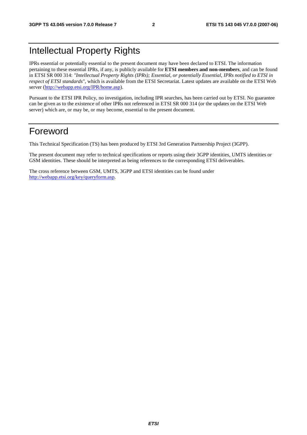## Intellectual Property Rights

IPRs essential or potentially essential to the present document may have been declared to ETSI. The information pertaining to these essential IPRs, if any, is publicly available for **ETSI members and non-members**, and can be found in ETSI SR 000 314: *"Intellectual Property Rights (IPRs); Essential, or potentially Essential, IPRs notified to ETSI in respect of ETSI standards"*, which is available from the ETSI Secretariat. Latest updates are available on the ETSI Web server ([http://webapp.etsi.org/IPR/home.asp\)](http://webapp.etsi.org/IPR/home.asp).

Pursuant to the ETSI IPR Policy, no investigation, including IPR searches, has been carried out by ETSI. No guarantee can be given as to the existence of other IPRs not referenced in ETSI SR 000 314 (or the updates on the ETSI Web server) which are, or may be, or may become, essential to the present document.

## Foreword

This Technical Specification (TS) has been produced by ETSI 3rd Generation Partnership Project (3GPP).

The present document may refer to technical specifications or reports using their 3GPP identities, UMTS identities or GSM identities. These should be interpreted as being references to the corresponding ETSI deliverables.

The cross reference between GSM, UMTS, 3GPP and ETSI identities can be found under [http://webapp.etsi.org/key/queryform.asp.](http://webapp.etsi.org/key/queryform.asp)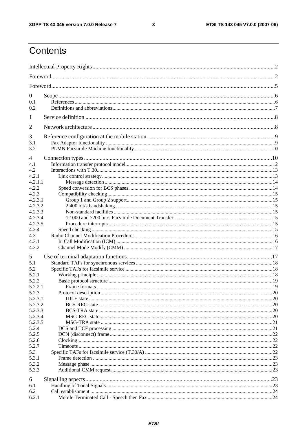$\mathbf{3}$ 

## Contents

| $\overline{0}$<br>0.1<br>0.2                                   |     |  |  |  |
|----------------------------------------------------------------|-----|--|--|--|
| 1                                                              |     |  |  |  |
| 2                                                              |     |  |  |  |
| 3<br>3.1<br>3.2                                                |     |  |  |  |
| 4<br>4.1<br>4.2<br>4.2.1<br>4.2.1.1                            |     |  |  |  |
| 4.2.2<br>4.2.3<br>4.2.3.1<br>4.2.3.2                           |     |  |  |  |
| 4.2.3.3<br>4.2.3.4<br>4.2.3.5<br>4.2.4                         |     |  |  |  |
| 4.3<br>4.3.1<br>4.3.2                                          |     |  |  |  |
| 5<br>5.1<br>5.2<br>5.2.1<br>5.2.2                              |     |  |  |  |
| 5.2.2.1<br>5.2.3<br>Protocol description<br>5.2.3.1<br>5.2.3.2 | .20 |  |  |  |
| 5.2.3.3<br>5.2.3.4<br>5.2.3.5<br>5.2.4                         |     |  |  |  |
| 5.2.5<br>5.2.6<br>5.2.7                                        |     |  |  |  |
| 5.3<br>5.3.1<br>5.3.2<br>5.3.3                                 |     |  |  |  |
| 6<br>6.1<br>6.2<br>6.2.1                                       |     |  |  |  |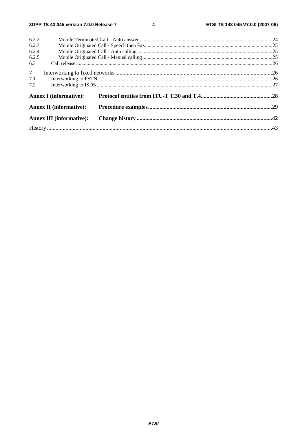$\overline{\mathbf{4}}$ 

| 6.2.2          |                                 |  |  |  |  |
|----------------|---------------------------------|--|--|--|--|
| 6.2.3          |                                 |  |  |  |  |
| 6.2.4          |                                 |  |  |  |  |
| 6.2.5          |                                 |  |  |  |  |
| 6.3            |                                 |  |  |  |  |
| 7 <sup>7</sup> |                                 |  |  |  |  |
| 7.1            |                                 |  |  |  |  |
| 7.2            |                                 |  |  |  |  |
|                | <b>Annex I</b> (informative):   |  |  |  |  |
|                | <b>Annex II (informative):</b>  |  |  |  |  |
|                | <b>Annex III (informative):</b> |  |  |  |  |
|                |                                 |  |  |  |  |
|                |                                 |  |  |  |  |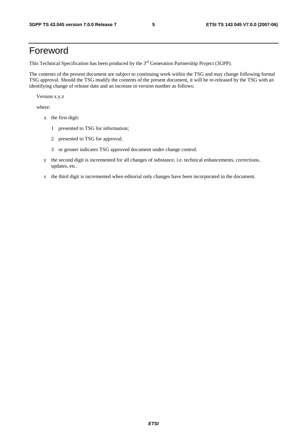## Foreword

This Technical Specification has been produced by the 3<sup>rd</sup> Generation Partnership Project (3GPP).

The contents of the present document are subject to continuing work within the TSG and may change following formal TSG approval. Should the TSG modify the contents of the present document, it will be re-released by the TSG with an identifying change of release date and an increase in version number as follows:

Version x.y.z

where:

- x the first digit:
	- 1 presented to TSG for information;
	- 2 presented to TSG for approval;
	- 3 or greater indicates TSG approved document under change control.
- y the second digit is incremented for all changes of substance, i.e. technical enhancements, corrections, updates, etc.
- z the third digit is incremented when editorial only changes have been incorporated in the document.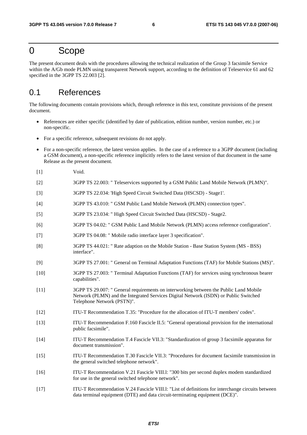## 0 Scope

The present document deals with the procedures allowing the technical realization of the Group 3 facsimile Service within the A/Gb mode PLMN using transparent Network support, according to the definition of Teleservice 61 and 62 specified in the 3GPP TS 22.003 [2].

## 0.1 References

The following documents contain provisions which, through reference in this text, constitute provisions of the present document.

- References are either specific (identified by date of publication, edition number, version number, etc.) or non-specific.
- For a specific reference, subsequent revisions do not apply.
- For a non-specific reference, the latest version applies. In the case of a reference to a 3GPP document (including a GSM document), a non-specific reference implicitly refers to the latest version of that document in the same Release as the present document.
- [1] Void.
- [2] 3GPP TS 22.003: " Teleservices supported by a GSM Public Land Mobile Network (PLMN)".
- [3] 3GPP TS 22.034: 'High Speed Circuit Switched Data (HSCSD) Stage1'.
- [4] 3GPP TS 43.010: " GSM Public Land Mobile Network (PLMN) connection types".
- [5] 3GPP TS 23.034: " High Speed Circuit Switched Data (HSCSD) Stage2.
- [6] 3GPP TS 04.02: " GSM Public Land Mobile Network (PLMN) access reference configuration".
- [7] 3GPP TS 04.08: " Mobile radio interface layer 3 specification".
- [8] 3GPP TS 44.021: " Rate adaption on the Mobile Station Base Station System (MS BSS) interface".
- [9] 3GPP TS 27.001: " General on Terminal Adaptation Functions (TAF) for Mobile Stations (MS)".
- [10] 3GPP TS 27.003: " Terminal Adaptation Functions (TAF) for services using synchronous bearer capabilities".
- [11] 3GPP TS 29.007: " General requirements on interworking between the Public Land Mobile Network (PLMN) and the Integrated Services Digital Network (ISDN) or Public Switched Telephone Network (PSTN)".
- [12] ITU-T Recommendation T.35: "Procedure for the allocation of ITU-T members' codes".
- [13] ITU-T Recommendation F.160 Fascicle II.5: "General operational provision for the international public facsimile".
- [14] ITU-T Recommendation T.4 Fascicle VII.3: "Standardization of group 3 facsimile apparatus for document transmission".
- [15] ITU-T Recommendation T.30 Fascicle VII.3: "Procedures for document facsimile transmission in the general switched telephone network".
- [16] ITU-T Recommendation V.21 Fascicle VIII.l: "300 bits per second duplex modem standardized for use in the general switched telephone network".
- [17] ITU-T Recommendation V.24 Fascicle VIII.l: "List of definitions for interchange circuits between data terminal equipment (DTE) and data circuit-terminating equipment (DCE)".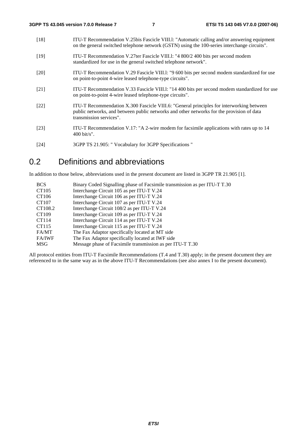| $[18]$             | ITU-T Recommendation V.25bis Fascicle VIII.1: "Automatic calling and/or answering equipment<br>on the general switched telephone network (GSTN) using the 100-series interchange circuits".                      |
|--------------------|------------------------------------------------------------------------------------------------------------------------------------------------------------------------------------------------------------------|
| $[19]$             | ITU-T Recommendation V.27ter Fascicle VIII.1: "4 800/2 400 bits per second modem<br>standardized for use in the general switched telephone network".                                                             |
| $\lceil 20 \rceil$ | ITU-T Recommendation V.29 Fascicle VIII.1: "9 600 bits per second modem standardized for use<br>on point-to-point 4-wire leased telephone-type circuits".                                                        |
| [21]               | ITU-T Recommendation V.33 Fascicle VIII.1: "14 400 bits per second modem standardized for use<br>on point-to-point 4-wire leased telephone-type circuits".                                                       |
| $[22]$             | ITU-T Recommendation X.300 Fascicle VIII.6: "General principles for interworking between<br>public networks, and between public networks and other networks for the provision of data<br>transmission services". |
| [23]               | ITU-T Recommendation V.17: "A 2-wire modem for facsimile applications with rates up to 14<br>$400 \text{ bit/s}$ ".                                                                                              |
|                    |                                                                                                                                                                                                                  |

[24] 3GPP TS 21.905: " Vocabulary for 3GPP Specifications "

## 0.2 Definitions and abbreviations

In addition to those below, abbreviations used in the present document are listed in 3GPP TR 21.905 [1].

| <b>BCS</b>    | Binary Coded Signalling phase of Facsimile transmission as per ITU-T T.30 |
|---------------|---------------------------------------------------------------------------|
| CT105         | Interchange Circuit 105 as per ITU-T V.24                                 |
| CT106         | Interchange Circuit 106 as per ITU-T V.24                                 |
| CT107         | Interchange Circuit 107 as per ITU-T V.24                                 |
| CT108.2       | Interchange Circuit 108/2 as per ITU-T V.24                               |
| CT109         | Interchange Circuit 109 as per ITU-T V.24                                 |
| CT114         | Interchange Circuit 114 as per ITU-T V.24                                 |
| CT115         | Interchange Circuit 115 as per ITU-T V.24                                 |
| FA/MT         | The Fax Adaptor specifically located at MT side                           |
| <b>FA/IWF</b> | The Fax Adaptor specifically located at IWF side                          |
| <b>MSG</b>    | Message phase of Facsimile transmission as per ITU-T T.30                 |

All protocol entities from ITU-T Facsimile Recommendations (T.4 and T.30) apply; in the present document they are referenced to in the same way as in the above ITU-T Recommendations (see also annex I to the present document).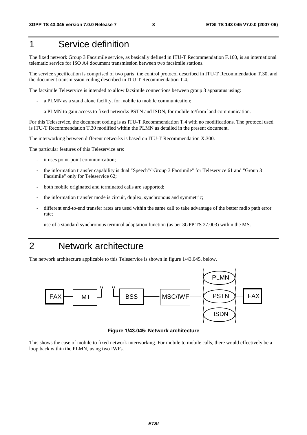## 1 Service definition

The fixed network Group 3 Facsimile service, as basically defined in ITU-T Recommendation F.160, is an international telematic service for ISO A4 document transmission between two facsimile stations.

The service specification is comprised of two parts: the control protocol described in ITU-T Recommendation T.30, and the document transmission coding described in ITU-T Recommendation T.4.

The facsimile Teleservice is intended to allow facsimile connections between group 3 apparatus using:

- a PLMN as a stand alone facility, for mobile to mobile communication;
- a PLMN to gain access to fixed networks PSTN and ISDN, for mobile to/from land communication.

For this Teleservice, the document coding is as ITU-T Recommendation T.4 with no modifications. The protocol used is ITU-T Recommendation T.30 modified within the PLMN as detailed in the present document.

The interworking between different networks is based on ITU-T Recommendation X.300.

The particular features of this Teleservice are:

- it uses point-point communication;
- the information transfer capability is dual "Speech"/"Group 3 Facsimile" for Teleservice 61 and "Group 3 Facsimile" only for Teleservice 62;
- both mobile originated and terminated calls are supported;
- the information transfer mode is circuit, duplex, synchronous and symmetric;
- different end-to-end transfer rates are used within the same call to take advantage of the better radio path error rate;
- use of a standard synchronous terminal adaptation function (as per 3GPP TS 27.003) within the MS.

## 2 Network architecture

The network architecture applicable to this Teleservice is shown in figure 1/43.045, below.



**Figure 1/43.045: Network architecture** 

This shows the case of mobile to fixed network interworking. For mobile to mobile calls, there would effectively be a loop back within the PLMN, using two IWFs.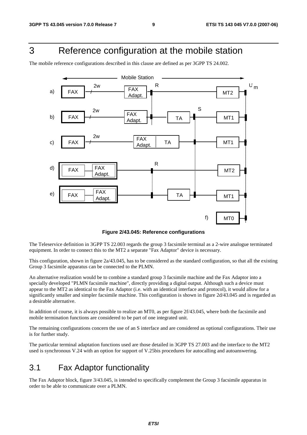## 3 Reference configuration at the mobile station

The mobile reference configurations described in this clause are defined as per 3GPP TS 24.002.



**Figure 2/43.045: Reference configurations** 

The Teleservice definition in 3GPP TS 22.003 regards the group 3 facsimile terminal as a 2-wire analogue terminated equipment. In order to connect this to the MT2 a separate "Fax Adaptor" device is necessary.

This configuration, shown in figure 2a/43.045, has to be considered as the standard configuration, so that all the existing Group 3 facsimile apparatus can be connected to the PLMN.

An alternative realization would be to combine a standard group 3 facsimile machine and the Fax Adaptor into a specially developed "PLMN facsimile machine", directly providing a digital output. Although such a device must appear to the MT2 as identical to the Fax Adaptor (i.e. with an identical interface and protocol), it would allow for a significantly smaller and simpler facsimile machine. This configuration is shown in figure 2d/43.045 and is regarded as a desirable alternative.

In addition of course, it is always possible to realize an MT0, as per figure 2f/43.045, where both the facsimile and mobile termination functions are considered to be part of one integrated unit.

The remaining configurations concern the use of an S interface and are considered as optional configurations. Their use is for further study.

The particular terminal adaptation functions used are those detailed in 3GPP TS 27.003 and the interface to the MT2 used is synchronous V.24 with an option for support of V.25bis procedures for autocalling and autoanswering.

## 3.1 Fax Adaptor functionality

The Fax Adaptor block, figure 3/43.045, is intended to specifically complement the Group 3 facsimile apparatus in order to be able to communicate over a PLMN.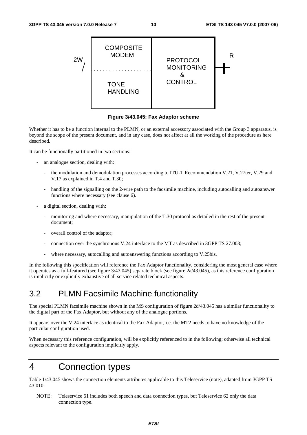

**Figure 3/43.045: Fax Adaptor scheme** 

Whether it has to be a function internal to the PLMN, or an external accessory associated with the Group 3 apparatus, is beyond the scope of the present document, and in any case, does not affect at all the working of the procedure as here described.

It can be functionally partitioned in two sections:

- an analogue section, dealing with:
	- the modulation and demodulation processes according to ITU-T Recommendation V.21, V.27ter, V.29 and V.17 as explained in T.4 and T.30;
	- handling of the signalling on the 2-wire path to the facsimile machine, including autocalling and autoanswer functions where necessary (see clause 6).
- a digital section, dealing with:
	- monitoring and where necessary, manipulation of the T.30 protocol as detailed in the rest of the present document;
	- overall control of the adaptor;
	- connection over the synchronous V.24 interface to the MT as described in 3GPP TS 27.003;
	- where necessary, autocalling and autoanswering functions according to V.25bis.

In the following this specification will reference the Fax Adaptor functionality, considering the most general case where it operates as a full-featured (see figure 3/43.045) separate block (see figure 2a/43.045), as this reference configuration is implicitly or explicitly exhaustive of all service related technical aspects.

## 3.2 PLMN Facsimile Machine functionality

The special PLMN facsimile machine shown in the MS configuration of figure 2d/43.045 has a similar functionality to the digital part of the Fax Adaptor, but without any of the analogue portions.

It appears over the V.24 interface as identical to the Fax Adaptor, i.e. the MT2 needs to have no knowledge of the particular configuration used.

When necessary this reference configuration, will be explicitly referenced to in the following; otherwise all technical aspects relevant to the configuration implicitly apply.

## 4 Connection types

Table 1/43.045 shows the connection elements attributes applicable to this Teleservice (note), adapted from 3GPP TS 43.010.

NOTE: Teleservice 61 includes both speech and data connection types, but Teleservice 62 only the data connection type.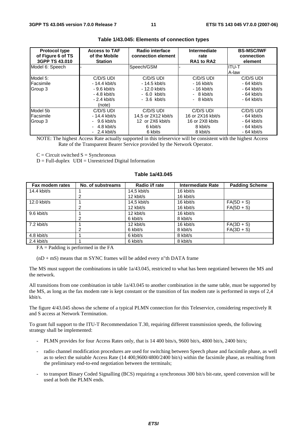| <b>Protocol type</b><br>of Figure 6 of TS<br>3GPP TS 43.010 | <b>Access to TAF</b><br>of the Mobile<br><b>Station</b> | Radio interface<br>connection element | Intermediate<br>rate<br>RA1 to RA2 | <b>BS-MSC/IWF</b><br>connection<br>element |
|-------------------------------------------------------------|---------------------------------------------------------|---------------------------------------|------------------------------------|--------------------------------------------|
| Model 6: Speech                                             |                                                         | Speech/GSM                            |                                    | IITU-T                                     |
|                                                             |                                                         |                                       |                                    | A-law                                      |
| Model 5:                                                    | C/D/S UDI                                               | C/D/S UDI                             | C/D/S UDI                          | C/D/S UDI                                  |
| Facsimile                                                   | $-14.4$ kbit/s                                          | - 14.5 kbit/s                         | $-16$ kbit/s                       | $-64$ kbit/s                               |
| Group 3                                                     | $-9.6$ kbit/s                                           | $-12.0$ kbit/s                        | $-16$ kbit/s                       | $-64$ kbit/s                               |
|                                                             | $-4.8$ kbit/s                                           | $-6.0$ kbit/s                         | $-8$ kbit/s                        | $-64$ kbit/s                               |
|                                                             | $-2.4$ kbit/s                                           | $-3.6$ kbit/s                         | $-8$ kbit/s                        | $-64$ kbit/s                               |
|                                                             | (note)                                                  |                                       |                                    |                                            |
| Model 5b                                                    | C/D/S UDI                                               | C/D/S UDI                             | C/D/S UDI                          | C/D/S UDI                                  |
| Facsimile                                                   | $-14.4$ kbit/s                                          | 14,5 or 2X12 kbit/s                   | 16 or 2X16 kbit/s                  | - 64 kbit/s                                |
| Group 3                                                     | $-9.6$ kbit/s                                           | 12 or 2X6 kbit/s                      | 16 or 2X8 kbits                    | $-64$ kbit/s                               |
|                                                             | $-4.8$ kbit/s                                           | 6 kbit/s                              | 8 kbit/s                           | $-64$ kbit/s                               |
|                                                             | $-2.4$ kbit/s                                           | 6 kbits                               | 8 kbit/s                           | $-64$ kbit/s                               |

#### **Table 1/43.045: Elements of connection types**

NOTE: The highest Access Rate actually supported in this teleservice will be consistent with the highest Access Rate of the Transparent Bearer Service provided by the Network Operator.

 $C =$  Circuit switched  $S =$  Synchronous

 $D = Full-duplex$   $UDI = Unrestricted Digital Information$ 

#### **Table 1a/43.045**

| Fax modem rates | No. of substreams | Radio i/f rate | <b>Intermediate Rate</b> | <b>Padding Scheme</b> |
|-----------------|-------------------|----------------|--------------------------|-----------------------|
| 14.4 kbit/s     |                   | $14.5$ kbit/s  | 16 kbit/s                |                       |
|                 |                   | 12 kbit/s      | 16 kbit/s                |                       |
| $12.0$ kbit/s   |                   | $14.5$ kbit/s  | 16 kbit/s                | $FA(5D + S)$          |
|                 |                   | 12 kbit/s      | 16 kbit/s                | $FA(5D + S)$          |
| 9.6 kbit/s      |                   | 12 kbit/s      | 16 kbit/s                |                       |
|                 | 2                 | 6 kbit/s       | 8 kbit/s                 |                       |
| $7.2$ kbit/s    |                   | 12 kbit/s      | 16 kbit/s                | $FA(3D + S)$          |
|                 |                   | 6 kbit/s       | 8 kbit/s                 | $FA(3D + S)$          |
| 4.8 kbit/s      |                   | 6 kbit/s       | 8 kbit/s                 |                       |
| $2.4$ kbit/s    |                   | 6 kbit/s       | 8 kbit/s                 |                       |

 $FA =$  Padding is performed in the  $FA$ 

 $(nD + mS)$  means that m SYNC frames will be added every n"th DATA frame

The MS must support the combinations in table 1a/43.045, restricted to what has been negotiated between the MS and the network.

All transitions from one combination in table 1a/43.045 to another combination in the same table, must be supported by the MS, as long as the fax modem rate is kept constant or the transition of fax modem rate is performed in steps of 2,4 kbit/s.

The figure 4/43.045 shows the scheme of a typical PLMN connection for this Teleservice, considering respectively R and S access at Network Termination.

To grant full support to the ITU-T Recommendation T.30, requiring different transmission speeds, the following strategy shall be implemented:

- PLMN provides for four Access Rates only, that is 14 400 bits/s, 9600 bit/s, 4800 bit/s, 2400 bit/s;
- radio channel modification procedures are used for switching between Speech phase and facsimile phase, as well as to select the suitable Access Rate (14 400,9600/4800/2400 bit/s) within the facsimile phase, as resulting from the preliminary end-to-end negotiation between the terminals;
- to transport Binary Coded Signalling (BCS) requiring a synchronous 300 bit/s bit-rate, speed conversion will be used at both the PLMN ends.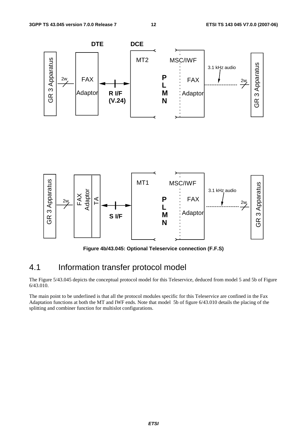

**Figure 4b/43.045: Optional Teleservice connection (F.F.S)** 

## 4.1 Information transfer protocol model

The Figure 5/43.045 depicts the conceptual protocol model for this Teleservice, deduced from model 5 and 5b of Figure 6/43.010.

The main point to be underlined is that all the protocol modules specific for this Teleservice are confined in the Fax Adaptation functions at both the MT and IWF ends. Note that model 5b of figure 6/43.010 details the placing of the splitting and combiner function for multislot configurations.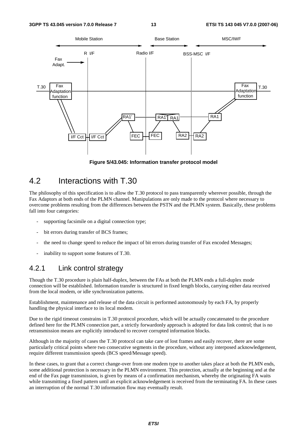

**Figure 5/43.045: Information transfer protocol model** 

## 4.2 Interactions with T.30

The philosophy of this specification is to allow the T.30 protocol to pass transparently wherever possible, through the Fax Adaptors at both ends of the PLMN channel. Manipulations are only made to the protocol where necessary to overcome problems resulting from the differences between the PSTN and the PLMN system. Basically, these problems fall into four categories:

- supporting facsimile on a digital connection type;
- bit errors during transfer of BCS frames:
- the need to change speed to reduce the impact of bit errors during transfer of Fax encoded Messages;
- inability to support some features of T.30.

#### 4.2.1 Link control strategy

Though the T.30 procedure is plain half-duplex, between the FAs at both the PLMN ends a full-duplex mode connection will be established. Information transfer is structured in fixed length blocks, carrying either data received from the local modem, or idle synchronization patterns.

Establishment, maintenance and release of the data circuit is performed autonomously by each FA, by properly handling the physical interface to its local modem.

Due to the rigid timeout constrains in T.30 protocol procedure, which will be actually concatenated to the procedure defined here for the PLMN connection part, a strictly forwardonly approach is adopted for data link control; that is no retransmission means are explicitly introduced to recover corrupted information blocks.

Although in the majority of cases the T.30 protocol can take care of lost frames and easily recover, there are some particularly critical points where two consecutive segments in the procedure, without any interposed acknowledgement, require different transmission speeds (BCS speed/Message speed).

In these cases, to grant that a correct change-over from one modem type to another takes place at both the PLMN ends, some additional protection is necessary in the PLMN environment. This protection, actually at the beginning and at the end of the Fax page transmission, is given by means of a confirmation mechanism, whereby the originating FA waits while transmitting a fixed pattern until an explicit acknowledgement is received from the terminating FA. In these cases an interruption of the normal T.30 information flow may eventually result.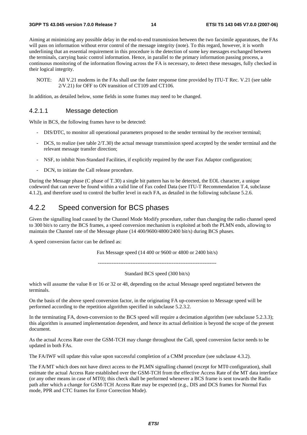Aiming at minimizing any possible delay in the end-to-end transmission between the two facsimile apparatuses, the FAs will pass on information without error control of the message integrity (note). To this regard, however, it is worth underlining that an essential requirement in this procedure is the detection of some key messages exchanged between the terminals, carrying basic control information. Hence, in parallel to the primary information passing process, a continuous monitoring of the information flowing across the FA is necessary, to detect these messages, fully checked in their logical integrity.

NOTE: All V.21 modems in the FAs shall use the faster response time provided by ITU-T Rec. V.21 (see table 2/V.21) for OFF to ON transition of CT109 and CT106.

In addition, as detailed below, some fields in some frames may need to be changed.

#### 4.2.1.1 Message detection

While in BCS, the following frames have to be detected:

- DIS/DTC, to monitor all operational parameters proposed to the sender terminal by the receiver terminal;
- DCS, to realize (see table  $2/T.30$ ) the actual message transmission speed accepted by the sender terminal and the relevant message transfer direction;
- NSF, to inhibit Non-Standard Facilities, if explicitly required by the user Fax Adaptor configuration;
- DCN, to initiate the Call release procedure.

During the Message phase (C phase of T.30) a single bit pattern has to be detected, the EOL character, a unique codeword that can never be found within a valid line of Fax coded Data (see ITU-T Recommendation T.4, subclause 4.1.2), and therefore used to control the buffer level in each FA, as detailed in the following subclause 5.2.6.

#### 4.2.2 Speed conversion for BCS phases

Given the signalling load caused by the Channel Mode Modify procedure, rather than changing the radio channel speed to 300 bit/s to carry the BCS frames, a speed conversion mechanism is exploited at both the PLMN ends, allowing to maintain the Channel rate of the Message phase (14 400/9600/4800/2400 bit/s) during BCS phases.

A speed conversion factor can be defined as:

Fax Message speed (14 400 or 9600 or 4800 or 2400 bit/s)

---------------------------------------------------------------------

Standard BCS speed (300 bit/s)

which will assume the value 8 or 16 or 32 or 48, depending on the actual Message speed negotiated between the terminals.

On the basis of the above speed conversion factor, in the originating FA up-conversion to Message speed will be performed according to the repetition algorithm specified in subclause 5.2.3.2.

In the terminating FA, down-conversion to the BCS speed will require a decimation algorithm (see subclause 5.2.3.3); this algorithm is assumed implementation dependent, and hence its actual definition is beyond the scope of the present document.

As the actual Access Rate over the GSM-TCH may change throughout the Call, speed conversion factor needs to be updated in both FAs.

The FA/IWF will update this value upon successful completion of a CMM procedure (see subclause 4.3.2).

The FA/MT which does not have direct access to the PLMN signalling channel (except for MT0 configuration), shall estimate the actual Access Rate established over the GSM-TCH from the effective Access Rate of the MT data interface (or any other means in case of MT0); this check shall be performed whenever a BCS frame is sent towards the Radio path after which a change for GSM-TCH Access Rate may be expected (e.g., DIS and DCS frames for Normal Fax mode, PPR and CTC frames for Error Correction Mode).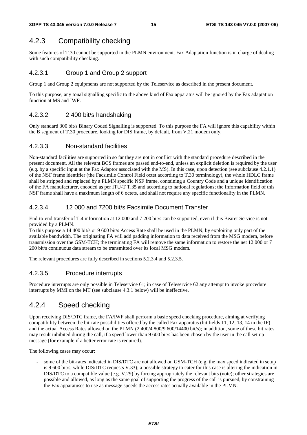## 4.2.3 Compatibility checking

Some features of T.30 cannot be supported in the PLMN environment. Fax Adaptation function is in charge of dealing with such compatibility checking.

#### 4.2.3.1 Group 1 and Group 2 support

Group 1 and Group 2 equipments are not supported by the Teleservice as described in the present document.

To this purpose, any tonal signalling specific to the above kind of Fax apparatus will be ignored by the Fax adaptation function at MS and IWF.

#### 4.2.3.2 2 400 bit/s handshaking

Only standard 300 bit/s Binary Coded Signalling is supported. To this purpose the FA will ignore this capability within the B segment of T.30 procedure, looking for DIS frame, by default, from V.21 modem only.

#### 4.2.3.3 Non-standard facilities

Non-standard facilities are supported in so far they are not in conflict with the standard procedure described in the present document. All the relevant BCS frames are passed end-to-end, unless an explicit deletion is required by the user (e.g. by a specific input at the Fax Adaptor associated with the MS). In this case, upon detection (see subclause 4.2.1.1) of the NSF frame identifier (the Facsimile Control Field octet according to T.30 terminology), the whole HDLC frame shall be stripped and replaced by a PLMN specific NSF frame, containing a Country Code and a unique identification of the FA manufacturer, encoded as per ITU-T T.35 and according to national regulations; the Information field of this NSF frame shall have a maximum length of 6 octets, and shall not require any specific functionality in the PLMN.

#### 4.2.3.4 12 000 and 7200 bit/s Facsimile Document Transfer

End-to-end transfer of T.4 information at 12 000 and 7 200 bit/s can be supported, even if this Bearer Service is not provided by a PLMN.

To this purpose a 14 400 bit/s or 9 600 bit/s Access Rate shall be used in the PLMN, by exploiting only part of the available bandwidth. The originating FA will add padding information to data received from the MSG modem, before transmission over the GSM-TCH; the terminating FA will remove the same information to restore the net 12 000 or 7 200 bit/s continuous data stream to be transmitted over its local MSG modem.

The relevant procedures are fully described in sections 5.2.3.4 and 5.2.3.5.

#### 4.2.3.5 Procedure interrupts

Procedure interrupts are only possible in Teleservice 61; in case of Teleservice 62 any attempt to invoke procedure interrupts by MMI on the MT (see subclause 4.3.1 below) will be ineffective.

### 4.2.4 Speed checking

Upon receiving DIS/DTC frame, the FA/IWF shall perform a basic speed checking procedure, aiming at verifying compatibility between the bit-rate possibilities offered by the called Fax apparatus (bit fields 11, 12, 13, 14 in the IF) and the actual Access Rates allowed on the PLMN (2 400/4 800/9 600/14400 bit/s); in addition, some of these bit rates may result inhibited during the call, if a speed lower than 9 600 bit/s has been chosen by the user in the call set up message (for example if a better error rate is required).

The following cases may occur:

some of the bit-rates indicated in DIS/DTC are not allowed on GSM-TCH (e.g. the max speed indicated in setup is 9 600 bit/s, while DIS/DTC requests V.33); a possible strategy to cater for this case is altering the indication in DIS/DTC to a compatible value (e.g. V.29) by forcing appropriately the relevant bits (note); other strategies are possible and allowed, as long as the same goal of supporting the progress of the call is pursued, by constraining the Fax apparatuses to use as message speeds the access rates actually available in the PLMN.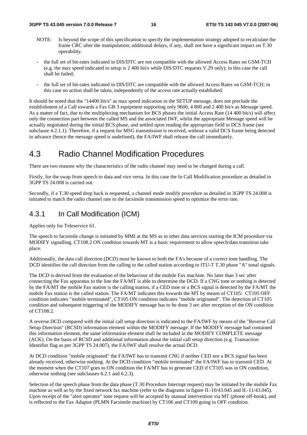- NOTE: Is beyond the scope of this specification to specify the implementation strategy adopted to recalculate the frame CRC after the manipulation; additional delays, if any, shall not have a significant impact on T.30 operability.
- the full set of bit-rates indicated in DIS/DTC are not compatible with the allowed Access Rates on GSM-TCH (e.g. the max speed indicated in setup is 2 400 bit/s while DIS/DTC requests V.29 only); in this case the call shall be failed;
- the full set of bit-rates indicated in DIS/DTC are compatible with the allowed Access Rates on GSM-TCH; in this case no action shall be taken, independently of the access rate actually established.

It should be noted that the "14400 bit/s" as max speed indication in the SETUP message, does not preclude the establishment of a Call towards a Fax GR 3 equipment supporting only 9600, 4 800 and 2 400 bit/s as Message speed. As a matter of fact, due to the multiplexing mechanism for BCS phases the initial Access Rate (14 400 bit/s) will affect only the connection part between the called MS and the associated IWF, whilst the appropriate Message speed will be actually negotiated during the initial BCS phase, and settled upon reading the appropriate field in DCS frame (see subclause 4.2.1.1). Therefore, if a request for MSG transmission is received, without a valid DCS frame being detected in advance (hence the message speed is undefined), the FA/IWF shall release the call immediately.

## 4.3 Radio Channel Modification Procedures

There are two reasons why the characteristics of the radio channel may need to be changed during a call.

Firstly, for the swap from speech to data and vice versa. In this case the In Call Modification procedure as detailed in 3GPP TS 24.008 is carried out.

Secondly, if a T.30 speed drop back is requested, a channel mode modify procedure as detailed in 3GPP TS 24.008 is initiated to match the radio channel rate to the facsimile transmission speed to optimize the error rate.

#### 4.3.1 In Call Modification (ICM)

Applies only for Teleservice 61.

The speech to facsimile change is initiated by MMI at the MS as in other data services starting the ICM procedure via MODIFY signalling. CT108.2 ON condition towards MT is a basic requirement to allow speech/data transition take place.

Additionally, the data call direction (DCD) must be known to both the FA's because of a correct tone handling. The DCD identifies the call direction from the calling to the called station according to ITU-T T.30 phase "A" tonal signals.

The DCD is derived from the evaluation of the behaviour of the mobile Fax machine. No later than 3 sec after connecting the Fax apparatus to the line the FA/MT is able to determine the DCD. If a CNG tone or nothing is detected by the FA/MT the mobile Fax station is the calling station, if a CED tone or a BCS signal is detected by the FA/MT the mobile Fax station is the called station. The FA/MT indicates this towards the MT by means of CT105: CT105 OFF condition indicates "mobile terminated", CT105 ON condition indicates "mobile originated". The detection of CT105 condition and subsequent triggering of the MODIFY message has to be done 3 sec after reception of the ON condition of CT108.2.

A reverse DCD compared with the initial call setup direction is indicated to the FA/IWF by means of the "Reverse Call Setup Direction" (RCSD) information element within the MODIFY message. If the MODIFY message had contained this information element, the same information element shall be included in the MODIFY COMPLETE message (ACK). On the basis of RCSD and additional information about the initial call setup direction (e.g. Transaction Identifier flag as per 3GPP TS 24.007), the FA/IWF shall resolve the actual DCD.

At DCD condition "mobile originated" the FA/IWF has to transmit CNG if neither CED nor a BCS signal has been already received, otherwise nothing. At the DCD condition "mobile terminated" the FA/IWF has to transmit CED. At the moment when the CT107 goes to ON condition the FA/MT has to generate CED if CT105 was in ON condition, otherwise nothing (see subclauses 6.2.1 and 6.2.3).

Selection of the speech phase from the data phase (T.30 Procedure Interrupt request) may be initiated by the mobile Fax machine as well as by the fixed network fax machine (refer to the diagrams in figure II.-10/43.045 and II.-11/43.045). Upon receipt of the "alert operator" tone request will be accepted by manual intervention via MT (phone off-hook), and is reflected to the Fax Adaptor (PLMN Facsimile machine) by CT106 and CT109 going in OFF condition.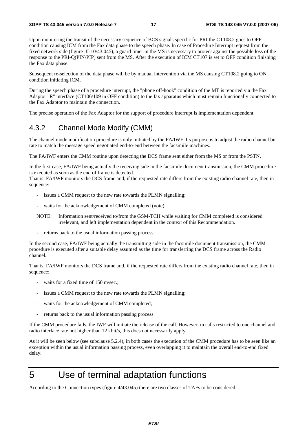Upon monitoring the transit of the necessary sequence of BCS signals specific for PRI the CT108.2 goes to OFF condition causing ICM from the Fax data phase to the speech phase. In case of Procedure Interrupt request from the fixed network side (figure II-10/43.045), a guard timer in the MS is necessary to protect against the possible loss of the response to the PRI-Q(PIN/PIP) sent from the MS. After the execution of ICM CT107 is set to OFF condition finishing the Fax data phase.

Subsequent re-selection of the data phase will be by manual intervention via the MS causing CT108.2 going to ON condition initiating ICM.

During the speech phase of a procedure interrupt, the "phone off-hook" condition of the MT is reported via the Fax Adaptor "R" interface (CT106/109 in OFF condition) to the fax apparatus which must remain functionally connected to the Fax Adaptor to maintain the connection.

The precise operation of the Fax Adaptor for the support of procedure interrupt is implementation dependent.

#### 4.3.2 Channel Mode Modify (CMM)

The channel mode modification procedure is only initiated by the FA/IWF. Its purpose is to adjust the radio channel bit rate to match the message speed negotiated end-to-end between the facsimile machines.

The FA/IWF enters the CMM routine upon detecting the DCS frame sent either from the MS or from the PSTN.

In the first case, FA/IWF being actually the receiving side in the facsimile document transmission, the CMM procedure is executed as soon as the end of frame is detected.

That is, FA/IWF monitors the DCS frame and, if the requested rate differs from the existing radio channel rate, then in sequence:

- issues a CMM request to the new rate towards the PLMN signalling;
- waits for the acknowledgement of CMM completed (note);
- NOTE: Information sent/received to/from the GSM-TCH while waiting for CMM completed is considered irrelevant, and left implementation dependent in the context of this Recommendation.
- returns back to the usual information passing process.

In the second case, FA/IWF being actually the transmitting side in the facsimile document transmission, the CMM procedure is executed after a suitable delay assumed as the time for transferring the DCS frame across the Radio channel.

That is, FA/IWF monitors the DCS frame and, if the requested rate differs from the existing radio channel rate, then in sequence:

- waits for a fixed time of 150 m/sec.;
- issues a CMM request to the new rate towards the PLMN signalling;
- waits for the acknowledgement of CMM completed;
- returns back to the usual information passing process.

If the CMM procedure fails, the IWF will initiate the release of the call. However, in calls restricted to one channel and radio interface rate not higher than 12 kbit/s, this does not necessarily apply.

As it will be seen below (see subclause 5.2.4), in both cases the execution of the CMM procedure has to be seen like an exception within the usual information passing process, even overlapping it to maintain the overall end-to-end fixed delay.

## 5 Use of terminal adaptation functions

According to the Connection types (figure 4/43.045) there are two classes of TAFs to be considered.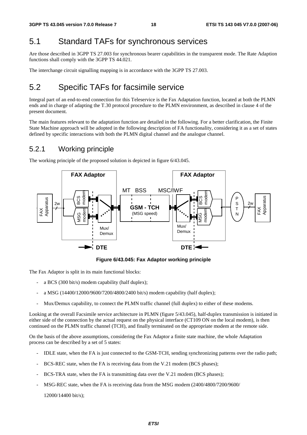## 5.1 Standard TAFs for synchronous services

Are those described in 3GPP TS 27.003 for synchronous bearer capabilities in the transparent mode. The Rate Adaption functions shall comply with the 3GPP TS 44.021.

The interchange circuit signalling mapping is in accordance with the 3GPP TS 27.003.

## 5.2 Specific TAFs for facsimile service

Integral part of an end-to-end connection for this Teleservice is the Fax Adaptation function, located at both the PLMN ends and in charge of adapting the T.30 protocol procedure to the PLMN environment, as described in clause 4 of the present document.

The main features relevant to the adaptation function are detailed in the following. For a better clarification, the Finite State Machine approach will be adopted in the following description of FA functionality, considering it as a set of states defined by specific interactions with both the PLMN digital channel and the analogue channel.

### 5.2.1 Working principle

The working principle of the proposed solution is depicted in figure 6/43.045.



**Figure 6/43.045: Fax Adaptor working principle** 

The Fax Adaptor is split in its main functional blocks:

- a BCS (300 bit/s) modem capability (half duplex);
- a MSG (14400/12000/9600/7200/4800/2400 bit/s) modem capability (half duplex);
- Mux/Demux capability, to connect the PLMN traffic channel (full duplex) to either of these modems.

Looking at the overall Facsimile service architecture in PLMN (figure 5/43.045), half-duplex transmission is initiated in either side of the connection by the actual request on the physical interface (CT109 ON on the local modem), is then continued on the PLMN traffic channel (TCH), and finally terminated on the appropriate modem at the remote side.

On the basis of the above assumptions, considering the Fax Adaptor a finite state machine, the whole Adaptation process can be described by a set of 5 states:

- IDLE state, when the FA is just connected to the GSM-TCH, sending synchronizing patterns over the radio path;
- BCS-REC state, when the FA is receiving data from the V.21 modem (BCS phases);
- BCS-TRA state, when the FA is transmitting data over the V.21 modem (BCS phases);
- MSG-REC state, when the FA is receiving data from the MSG modem (2400/4800/7200/9600/

12000/14400 bit/s);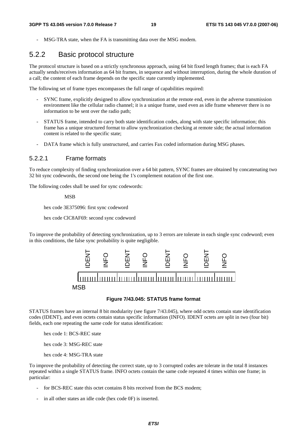MSG-TRA state, when the FA is transmitting data over the MSG modem.

### 5.2.2 Basic protocol structure

The protocol structure is based on a strictly synchronous approach, using 64 bit fixed length frames; that is each FA actually sends/receives information as 64 bit frames, in sequence and without interruption, during the whole duration of a call; the content of each frame depends on the specific state currently implemented.

The following set of frame types encompasses the full range of capabilities required:

- SYNC frame, explicitly designed to allow synchronization at the remote end, even in the adverse transmission environment like the cellular radio channel; it is a unique frame, used even as idle frame whenever there is no information to be sent over the radio path;
- STATUS frame, intended to carry both state identification codes, along with state specific information; this frame has a unique structured format to allow synchronization checking at remote side; the actual information content is related to the specific state;
- DATA frame which is fully unstructured, and carries Fax coded information during MSG phases.

#### 5.2.2.1 Frame formats

To reduce complexity of finding synchronization over a 64 bit pattern, SYNC frames are obtained by concatenating two 32 bit sync codewords, the second one being the 1's complement notation of the first one.

The following codes shall be used for sync codewords:

MSB

hex code 3E375096: first sync codeword

hex code ClC8AF69: second sync codeword

To improve the probability of detecting synchronization, up to 3 errors are tolerate in each single sync codeword; even in this conditions, the false sync probability is quite negligible.



#### **Figure 7/43.045: STATUS frame format**

STATUS frames have an internal 8 bit modularity (see figure 7/43.045), where odd octets contain state identification codes (IDENT), and even octets contain status specific information (INFO). IDENT octets are split in two (four bit) fields, each one repeating the same code for status identification:

hex code 1: BCS-REC state

hex code 3: MSG-REC state

hex code 4: MSG-TRA state

To improve the probability of detecting the correct state, up to 3 corrupted codes are tolerate in the total 8 instances repeated within a single STATUS frame. INFO octets contain the same code repeated 4 times within one frame; in particular:

- for BCS-REC state this octet contains 8 bits received from the BCS modem;
- in all other states an idle code (hex code 0F) is inserted.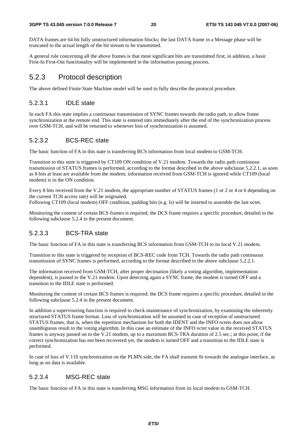DATA frames are 64 bit fully unstructured information blocks; the last DATA frame in a Message phase will be truncated to the actual length of the bit stream to be transmitted.

A general rule concerning all the above frames is that most significant bits are transmitted first; in addition, a basic First-In First-Out functionality will be implemented in the information passing process.

### 5.2.3 Protocol description

The above defined Finite State Machine model will be used to fully describe the protocol procedure.

#### 5.2.3.1 IDLE state

In each FA this state implies a continuous transmission of SYNC frames towards the radio path, to allow frame synchronization at the remote end. This state is entered into immediately after the end of the synchronization process over GSM-TCH, and will be returned to whenever loss of synchronization is assumed.

#### 5.2.3.2 BCS-REC state

The basic function of FA in this state is transferring BCS information from local modem to GSM-TCH.

Transition to this state is triggered by CT109 ON condition of V.21 modem. Towards the radio path continuous transmission of STATUS frames is performed, according to the format described in the above subclause 5.2.2.1, as soon as 8 bits at least are available from the modem; information received from GSM-TCH is ignored while CT109 (local modem) is in the ON condition.

Every 8 bits received from the V.21 modem, the appropriate number of STATUS frames (1 or 2 or 4 or 6 depending on the current TCH access rate) will be originated.

Following CT109 (local modem) OFF condition, padding bits (e.g. ls) will be inserted to assemble the last octet.

Monitoring the content of certain BCS frames is required; the DCS frame requires a specific procedure, detailed in the following subclause 5.2.4 in the present document.

#### 5.2.3.3 BCS-TRA state

The basic function of FA in this state is transferring BCS information from GSM-TCH to its local V.21 modem.

Transition to this state is triggered by reception of BCS-REC code from TCH. Towards the radio path continuous transmission of SYNC frames is performed, according to the format described in the above subclause 5.2.2.1.

The information received from GSM-TCH, after proper decimation (likely a voting algorithm, implementation dependent), is passed to the V.21 modem. Upon detecting again a SYNC frame, the modem is turned OFF and a transition to the IDLE state is performed.

Monitoring the content of certain BCS frames is required; the DCS frame requires a specific procedure, detailed in the following subclause 5.2.4 in the present document.

In addition a supervisoring function is required to check maintenance of synchronization, by examining the inherently structured STATUS frame format. Loss of synchronization will be assumed in case of reception of unstructured STATUS frames, that is, when the repetition mechanism for both the IDENT and the INFO octets does not allow unambiguous result to the voting algorithm. In this case an estimate of the INFO octet value in the received STATUS frames is anyway passed on to the V.21 modem, up to a maximum BCS-TRA duration of 2.5 sec.; at this point, if the correct synchronization has not been recovered yet, the modem is turned OFF and a transition to the IDLE state is performed.

In case of loss of V.110 synchronization on the PLMN side, the FA shall transmit 0s towards the analogue interface, as long as no data is available.

#### 5.2.3.4 MSG-REC state

The basic function of FA in this state is transferring MSG information from its local modem to GSM-TCH.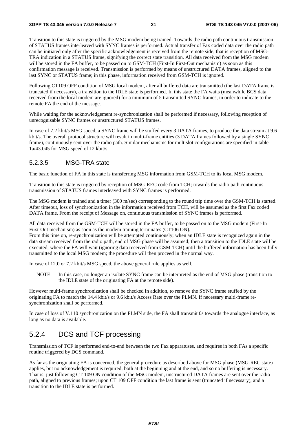Transition to this state is triggered by the MSG modem being trained. Towards the radio path continuous transmission of STATUS frames interleaved with SYNC frames is performed. Actual transfer of Fax coded data over the radio path can be initiated only after the specific acknowledgement is received from the remote side, that is reception of MSG-TRA indication in a STATUS frame, signifying the correct state transition. All data received from the MSG modem will be stored in the FA buffer, to be passed on to GSM-TCH (First-In First-Out mechanism) as soon as this confirmation message is received. Transmission is performed by means of unstructured DATA frames, aligned to the last SYNC or STATUS frame; in this phase, information received from GSM-TCH is ignored.

Following CT109 OFF condition of MSG local modem, after all buffered data are transmitted (the last DATA frame is truncated if necessary), a transition to the IDLE state is performed. In this state the FA waits (meanwhile BCS data received from the local modem are ignored) for a minimum of 5 transmitted SYNC frames, in order to indicate to the remote FA the end of the message.

While waiting for the acknowledgement re-synchronization shall be performed if necessary, following reception of unrecognisable SYNC frames or unstructured STATUS frames.

In case of 7.2 kbit/s MSG speed, a SYNC frame will be stuffed every 3 DATA frames, to produce the data stream at 9.6 kbit/s. The overall protocol structure will result in multi-frame entities (3 DATA frames followed by a single SYNC frame), continuously sent over the radio path. Similar mechanisms for multislot configurations are specified in table 1a/43.045 for MSG speed of 12 kbit/s.

#### 5.2.3.5 MSG-TRA state

The basic function of FA in this state is transferring MSG information from GSM-TCH to its local MSG modem.

Transition to this state is triggered by reception of MSG-REC code from TCH; towards the radio path continuous transmission of STATUS frames interleaved with SYNC frames is performed.

The MSG modem is trained and a timer (300 m/sec) corresponding to the round trip time over the GSM-TCH is started. After timeout, loss of synchronization in the information received from TCH, will be assumed as the first Fax coded DATA frame. From the receipt of Message on, continuous transmission of SYNC frames is performed.

All data received from the GSM-TCH will be stored in the FA buffer, to be passed on to the MSG modem (First-In First-Out mechanism) as soon as the modem training terminates (CT106 ON).

From this time on, re-synchronization will be attempted continuously; when an IDLE state is recognized again in the data stream received from the radio path, end of MSG phase will be assumed; then a transition to the IDLE state will be executed, where the FA will wait (ignoring data received from GSM-TCH) until the buffered information has been fully transmitted to the local MSG modem; the procedure will then proceed in the normal way.

In case of 12.0 or 7.2 kbit/s MSG speed, the above general rule applies as well.

NOTE: In this case, no longer an isolate SYNC frame can be interpreted as the end of MSG phase (transition to the IDLE state of the originating FA at the remote side).

However multi-frame synchronization shall be checked in addition, to remove the SYNC frame stuffed by the originating FA to match the 14.4 kbit/s or 9.6 kbit/s Access Rate over the PLMN. If necessary multi-frame resynchronization shall be performed.

In case of loss of V.110 synchronization on the PLMN side, the FA shall transmit 0s towards the analogue interface, as long as no data is available.

#### 5.2.4 DCS and TCF processing

Transmission of TCF is performed end-to-end between the two Fax apparatuses, and requires in both FAs a specific routine triggered by DCS command.

As far as the originating FA is concerned, the general procedure as described above for MSG phase (MSG-REC state) applies, but no acknowledgement is required, both at the beginning and at the end, and so no buffering is necessary. That is, just following CT 109 ON condition of the MSG modem, unstructured DATA frames are sent over the radio path, aligned to previous frames; upon CT 109 OFF condition the last frame is sent (truncated if necessary), and a transition to the IDLE state is performed.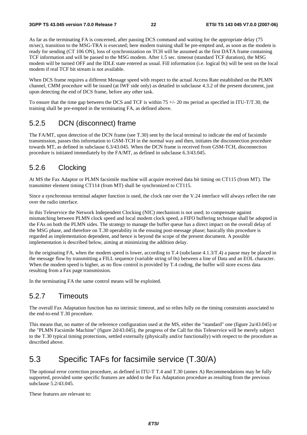As far as the terminating FA is concerned, after passing DCS command and waiting for the appropriate delay (75 m/sec), transition to the MSG-TRA is executed; here modem training shall be pre-empted and, as soon as the modem is ready for sending (CT 106 ON), loss of synchronization on TCH will be assumed as the first DATA frame containing TCF information and will be passed to the MSG modem. After 1.5 sec. timeout (standard TCF duration), the MSG modem will be turned OFF and the IDLE state entered as usual. Fill information (i.e. logical 0s) will be sent on the local modem if real TCF bit stream is not available.

When DCS frame requires a different Message speed with respect to the actual Access Rate established on the PLMN channel, CMM procedure will be issued (at IWF side only) as detailed in subclause 4.3.2 of the present document, just upon detecting the end of DCS frame, before any other task.

To ensure that the time gap between the DCS and TCF is within  $75 +/20$  ms period as specified in ITU-T/T.30, the training shall be pre-empted in the terminating FA, as defined above.

### 5.2.5 DCN (disconnect) frame

The FA/MT, upon detection of the DCN frame (see T.30) sent by the local terminal to indicate the end of facsimile transmission, passes this information to GSM-TCH in the normal way and then, initiates the disconnection procedure towards MT, as defined in subclause 6.3/43.045. When the DCN frame is received from GSM-TCH, disconnection procedure is initiated immediately by the FA/MT, as defined in subclause 6.3/43.045.

### 5.2.6 Clocking

At MS the Fax Adaptor or PLMN facsimile machine will acquire received data bit timing on CT115 (from MT). The transmitter element timing CT114 (from MT) shall be synchronized to CT115.

Since a synchronous terminal adapter function is used, the clock rate over the V.24 interface will always reflect the rate over the radio interface.

In this Teleservice the Network Independent Clocking (NIC) mechanism is not used; to compensate against mismatching between PLMN clock speed and local modem clock speed, a FIFO buffering technique shall be adopted in the FAs on both the PLMN sides. The strategy to manage the buffer queue has a direct impact on the overall delay of the MSG phase, and therefore on T.30 operability in the ensuing post-message phase; basically this procedure is regarded as implementation dependent, and hence is beyond the scope of the present document. A possible implementation is described below, aiming at minimizing the addition delay.

In the originating FA, when the modem speed is lower, according to T.4 (subclause 4.1.3/T.4) a pause may be placed in the message flow by transmitting a FILL sequence (variable string of 0s) between a line of Data and an EOL character. When the modem speed is higher, as no flow control is provided by T.4 coding, the buffer will store excess data resulting from a Fax page transmission.

In the terminating FA the same control means will be exploited.

#### 5.2.7 Timeouts

The overall Fax Adaptation function has no intrinsic timeout, and so relies fully on the timing constraints associated to the end-to-end T.30 procedure.

This means that, no matter of the reference configuration used at the MS, either the "standard" one (figure 2a/43.045) or the "PLMN Facsimile Machine" (figure 2d/43.045), the progress of the Call for this Teleservice will be merely subject to the T.30 typical timing protections, settled externally (physically and/or functionally) with respect to the procedure as described above.

## 5.3 Specific TAFs for facsimile service (T.30/A)

The optional error correction procedure, as defined in ITU-T T.4 and T.30 (annex A) Recommendations may be fully supported, provided some specific features are added to the Fax Adaptation procedure as resulting from the previous subclause 5.2/43.045.

These features are relevant to: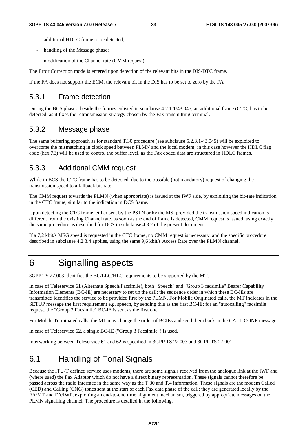- additional HDLC frame to be detected:
- handling of the Message phase;
- modification of the Channel rate (CMM request);

The Error Correction mode is entered upon detection of the relevant bits in the DIS/DTC frame.

If the FA does not support the ECM, the relevant bit in the DIS has to be set to zero by the FA.

#### 5.3.1 Frame detection

During the BCS phases, beside the frames enlisted in subclause 4.2.1.1/43.045, an additional frame (CTC) has to be detected, as it fixes the retransmission strategy chosen by the Fax transmitting terminal.

#### 5.3.2 Message phase

The same buffering approach as for standard T.30 procedure (see subclause 5.2.3.1/43.045) will be exploited to overcome the mismatching in clock speed between PLMN and the local modem; in this case however the HDLC flag code (hex 7E) will be used to control the buffer level, as the Fax coded data are structured in HDLC frames.

### 5.3.3 Additional CMM request

While in BCS the CTC frame has to be detected, due to the possible (not mandatory) request of changing the transmission speed to a fallback bit-rate.

The CMM request towards the PLMN (when appropriate) is issued at the IWF side, by exploiting the bit-rate indication in the CTC frame, similar to the indication in DCS frame.

Upon detecting the CTC frame, either sent by the PSTN or by the MS, provided the transmission speed indication is different from the existing Channel rate, as soon as the end of frame is detected, CMM request is issued, using exactly the same procedure as described for DCS in subclause 4.3.2 of the present document

If a 7,2 kbit/s MSG speed is requested in the CTC frame, no CMM request is necessary, and the specific procedure described in subclause 4.2.3.4 applies, using the same 9,6 kbit/s Access Rate over the PLMN channel.

## 6 Signalling aspects

3GPP TS 27.003 identifies the BC/LLC/HLC requirements to be supported by the MT.

In case of Teleservice 61 (Alternate Speech/Facsimile), both "Speech" and "Group 3 facsimile" Bearer Capability Information Elements (BC-IE) are necessary to set up the call; the sequence order in which these BC-IEs are transmitted identifies the service to be provided first by the PLMN. For Mobile Originated calls, the MT indicates in the SETUP message the first requirement e.g. speech, by sending this as the first BC-IE; for an "autocalling" facsimile request, the "Group 3 Facsimile" BC-IE is sent as the first one.

For Mobile Terminated calls, the MT may change the order of BCIEs and send them back in the CALL CONF message.

In case of Teleservice 62, a single BC-IE ("Group 3 Facsimile") is used.

Interworking between Teleservice 61 and 62 is specified in 3GPP TS 22.003 and 3GPP TS 27.001.

## 6.1 Handling of Tonal Signals

Because the ITU-T defined service uses modems, there are some signals received from the analogue link at the IWF and (where used) the Fax Adaptor which do not have a direct binary representation. These signals cannot therefore be passed across the radio interface in the same way as the T.30 and T.4 information. These signals are the modem Called (CED) and Calling (CNG) tones sent at the start of each Fax data phase of the call; they are generated locally by the FA/MT and FA/IWF, exploiting an end-to-end time alignment mechanism, triggered by appropriate messages on the PLMN signalling channel. The procedure is detailed in the following.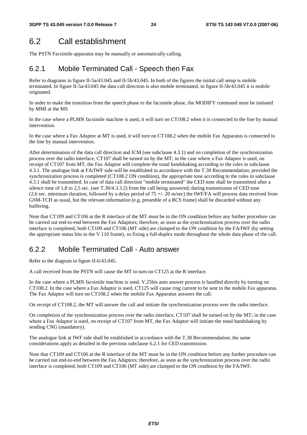## 6.2 Call establishment

The PSTN Facsimile apparatus may be manually or automatically calling.

## 6.2.1 Mobile Terminated Call - Speech then Fax

Refer to diagrams in figure II-5a/43.045 and II-5b/43.045. In both of the figures the initial call setup is mobile terminated. In figure II-5a/43.045 the data call direction is also mobile terminated, in figure II-5b/43.045 it is mobile originated.

In order to make the transition from the speech phase to the facsimile phase, the MODIFY command must be initiated by MMI at the MS

In the case where a PLMN facsimile machine is used, it will turn on CT108.2 when it is connected to the line by manual intervention.

In the case where a Fax Adaptor at MT is used, it will turn on CT108.2 when the mobile Fax Apparatus is connected to the line by manual intervention.

After determination of the data call direction and ICM (see subclause 4.3.1) and on completion of the synchronization process over the radio interface, CT107 shall be turned on by the MT; in the case where a Fax Adaptor is used, on receipt of CT107 from MT, the Fax Adaptor will complete the tonal handshaking according to the rules in subclause 4.3.1. The analogue link at FA/IWF side will be established in accordance with the T.30 Recommendation; provided the synchronization process is completed (CT108.2 ON condition), the appropriate tone according to the rules in subclause 4.3.1 shall be transmitted. In case of data call direction "mobile terminated" the CED tone shall be transmitted after a silence time of 1,8 to 2,5 sec. (see T.30/4.3.3.2) from the call being answered; during transmission of CED tone (2,6 sec. minimum duration, followed by a delay period of  $75 +/- 20$  m/sec) the IWF/FA will process data received from GSM-TCH as usual, but the relevant information (e.g. preamble of a BCS frame) shall be discarded without any buffering.

Note that CT109 and CT106 at the R interface of the MT must be in the ON condition before any further procedure can be carried out end-to-end between the Fax Adaptors; therefore, as soon as the synchronization process over the radio interface is completed, both CT109 and CT106 (MT side) are clamped to the ON condition by the FA/IWF (by setting the appropriate status bits in the V.110 frame), so fixing a full-duplex mode throughout the whole data phase of the call.

## 6.2.2 Mobile Terminated Call - Auto answer

Refer to the diagram in figure II-6/43.045.

A call received from the PSTN will cause the MT to turn on CT125 at the R interface.

In the case where a PLMN facsimile machine is used, V.25bis auto answer process is handled directly by turning on CT108.2. In the case where a Fax Adaptor is used, CT125 will cause ring current to be sent to the mobile Fax apparatus. The Fax Adaptor will turn on CT108.2 when the mobile Fax Apparatus answers the call.

On receipt of CT108.2, the MT will answer the call and initiate the synchronization process over the radio interface.

On completion of the synchronization process over the radio interface, CT107 shall be turned on by the MT; in the case where a Fax Adaptor is used, on receipt of CT107 from MT, the Fax Adaptor will initiate the tonal handshaking by sending CNG (mandatory).

The analogue link at IWF side shall be established in accordance with the T.30 Recommendation; the same considerations apply as detailed in the previous subclause 6.2.1 for CED transmission.

Note that CT109 and CT106 at the R interface of the MT must be in the ON condition before any further procedure can be carried out end-to-end between the Fax Adaptors; therefore, as soon as the synchronization process over the radio interface is completed, both CT109 and CT106 (MT side) are clamped to the ON condition by the FA/IWF.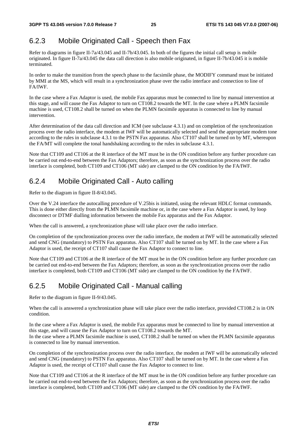## 6.2.3 Mobile Originated Call - Speech then Fax

Refer to diagrams in figure II-7a/43.045 and II-7b/43.045. In both of the figures the initial call setup is mobile originated. In figure II-7a/43.045 the data call direction is also mobile originated, in figure II-7b/43.045 it is mobile terminated.

In order to make the transition from the speech phase to the facsimile phase, the MODIFY command must be initiated by MMI at the MS, which will result in a synchronization phase over the radio interface and connection to line of FA/IWF.

In the case where a Fax Adaptor is used, the mobile Fax apparatus must be connected to line by manual intervention at this stage, and will cause the Fax Adaptor to turn on CT108.2 towards the MT. In the case where a PLMN facsimile machine is used, CT108.2 shall be turned on when the PLMN facsimile apparatus is connected to line by manual intervention.

After determination of the data call direction and ICM (see subclause 4.3.1) and on completion of the synchronization process over the radio interface, the modem at IWF will be automatically selected and send the appropriate modem tone according to the rules in subclause 4.3.1 to the PSTN Fax apparatus. Also CT107 shall be turned on by MT, whereupon the FA/MT will complete the tonal handshaking according to the rules in subclause 4.3.1.

Note that CT109 and CT106 at the R interface of the MT must be in the ON condition before any further procedure can be carried out end-to-end between the Fax Adaptors; therefore, as soon as the synchronization process over the radio interface is completed, both CT109 and CT106 (MT side) are clamped to the ON condition by the FA/IWF.

## 6.2.4 Mobile Originated Call - Auto calling

Refer to the diagram in figure II-8/43.045.

Over the V.24 interface the autocalling procedure of V.25bis is initiated, using the relevant HDLC format commands. This is done either directly from the PLMN facsimile machine or, in the case where a Fax Adaptor is used, by loop disconnect or DTMF dialling information between the mobile Fax apparatus and the Fax Adaptor.

When the call is answered, a synchronization phase will take place over the radio interface.

On completion of the synchronization process over the radio interface, the modem at IWF will be automatically selected and send CNG (mandatory) to PSTN Fax apparatus. Also CT107 shall be turned on by MT. In the case where a Fax Adaptor is used, the receipt of CT107 shall cause the Fax Adaptor to connect to line.

Note that CT109 and CT106 at the R interface of the MT must be in the ON condition before any further procedure can be carried out end-to-end between the Fax Adaptors; therefore, as soon as the synchronization process over the radio interface is completed, both CT109 and CT106 (MT side) are clamped to the ON condition by the FA/IWF.

## 6.2.5 Mobile Originated Call - Manual calling

Refer to the diagram in figure II-9/43.045.

When the call is answered a synchronization phase will take place over the radio interface, provided CT108.2 is in ON condition.

In the case where a Fax Adaptor is used, the mobile Fax apparatus must be connected to line by manual intervention at this stage, and will cause the Fax Adaptor to turn on CT108.2 towards the MT.

In the case where a PLMN facsimile machine is used, CT108.2 shall be turned on when the PLMN facsimile apparatus is connected to line by manual intervention.

On completion of the synchronization process over the radio interface, the modem at IWF will be automatically selected and send CNG (mandatory) to PSTN Fax apparatus. Also CT107 shall be turned on by MT. In the case where a Fax Adaptor is used, the receipt of CT107 shall cause the Fax Adaptor to connect to line.

Note that CT109 and CT106 at the R interface of the MT must be in the ON condition before any further procedure can be carried out end-to-end between the Fax Adaptors; therefore, as soon as the synchronization process over the radio interface is completed, both CT109 and CT106 (MT side) are clamped to the ON condition by the FA/IWF.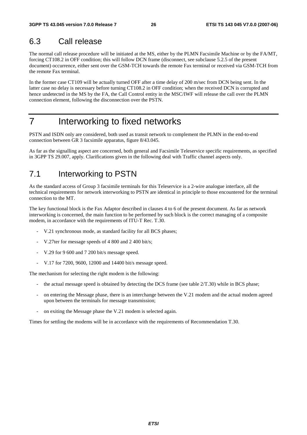## 6.3 Call release

The normal call release procedure will be initiated at the MS, either by the PLMN Facsimile Machine or by the FA/MT, forcing CT108.2 in OFF condition; this will follow DCN frame (disconnect, see subclause 5.2.5 of the present document) occurrence, either sent over the GSM-TCH towards the remote Fax terminal or received via GSM-TCH from the remote Fax terminal.

In the former case CT109 will be actually turned OFF after a time delay of 200 m/sec from DCN being sent. In the latter case no delay is necessary before turning CT108.2 in OFF condition; when the received DCN is corrupted and hence undetected in the MS by the FA, the Call Control entity in the MSC/IWF will release the call over the PLMN connection element, following the disconnection over the PSTN.

## 7 Interworking to fixed networks

PSTN and ISDN only are considered, both used as transit network to complement the PLMN in the end-to-end connection between GR 3 facsimile apparatus, figure 8/43.045.

As far as the signalling aspect are concerned, both general and Facsimile Teleservice specific requirements, as specified in 3GPP TS 29.007, apply. Clarifications given in the following deal with Traffic channel aspects only.

## 7.1 Interworking to PSTN

As the standard access of Group 3 facsimile terminals for this Teleservice is a 2-wire analogue interface, all the technical requirements for network interworking to PSTN are identical in principle to those encountered for the terminal connection to the MT.

The key functional block is the Fax Adaptor described in clauses 4 to 6 of the present document. As far as network interworking is concerned, the main function to be performed by such block is the correct managing of a composite modem, in accordance with the requirements of ITU-T Rec. T.30.

- V.21 synchronous mode, as standard facility for all BCS phases;
- V.27ter for message speeds of 4 800 and 2 400 bit/s;
- V.29 for 9 600 and 7 200 bit/s message speed.
- V.17 for 7200, 9600, 12000 and 14400 bit/s message speed.

The mechanism for selecting the right modem is the following:

- the actual message speed is obtained by detecting the DCS frame (see table  $2/T.30$ ) while in BCS phase;
- on entering the Message phase, there is an interchange between the V.21 modem and the actual modem agreed upon between the terminals for message transmission;
- on exiting the Message phase the V.21 modem is selected again.

Times for settling the modems will be in accordance with the requirements of Recommendation T.30.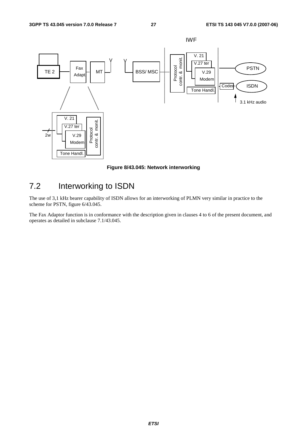

**Figure 8/43.045: Network interworking** 

## 7.2 Interworking to ISDN

The use of 3,1 kHz bearer capability of ISDN allows for an interworking of PLMN very similar in practice to the scheme for PSTN, figure 6/43.045.

The Fax Adaptor function is in conformance with the description given in clauses 4 to 6 of the present document, and operates as detailed in subclause 7.1/43.045.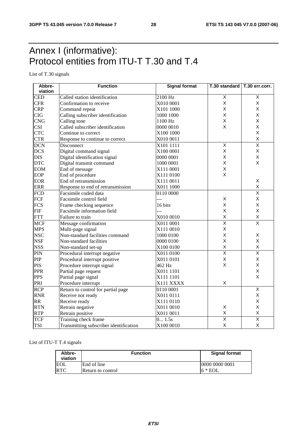## Annex I (informative): Protocol entities from ITU-T T.30 and T.4

List of T.30 signals

| Abbre-     | <b>Function</b>                        | <b>Signal format</b><br>T.30 standard   T.30 err.corr. |                         |                         |  |
|------------|----------------------------------------|--------------------------------------------------------|-------------------------|-------------------------|--|
| viation    |                                        |                                                        |                         |                         |  |
| <b>CED</b> | Called station identification          | 2100 Hz                                                | $\overline{\mathsf{X}}$ | $\overline{\mathsf{X}}$ |  |
| <b>CFR</b> | Confirmation to receive                | X010 0001                                              | X                       | X                       |  |
| <b>CRP</b> | Command repeat                         | X101 1000                                              | X                       | X                       |  |
| <b>CIG</b> | Calling subscriber identification      | 1000 1000                                              | X                       | X                       |  |
| <b>CNG</b> | Calling tone                           | 1100 Hz                                                | X                       | X                       |  |
| <b>CSI</b> | Called subscriber identification       | 0000 0010                                              | $\mathsf{X}$            | X                       |  |
| <b>CTC</b> | Continue to correct                    | X100 1000                                              |                         | X                       |  |
| <b>CTR</b> | Response to continue to correct        | X010 0011                                              |                         | X                       |  |
| <b>DCN</b> | Disconnect                             | X101 1111                                              | $\overline{\mathsf{X}}$ | $\overline{\mathsf{x}}$ |  |
| <b>DCS</b> | Digital command signal                 | X100 0001                                              | X                       | X                       |  |
| <b>DIS</b> | Digital identification signal          | 0000 0001                                              | X                       | X                       |  |
| <b>DTC</b> | Digital transmit command               | 1000 0001                                              | X                       | X                       |  |
| <b>EOM</b> | End of message                         | X111 0001                                              | X                       |                         |  |
| EOP        | End of procedure                       | X111 0100                                              | $\times$                |                         |  |
| <b>EOR</b> | End of retransmission                  | X111 0011                                              |                         | X                       |  |
| <b>ERR</b> | Response to end of retransmission      | X011 1000                                              |                         | X                       |  |
| <b>FCD</b> | Facsimile coded data                   | 0110 0000                                              |                         | $\overline{\mathsf{x}}$ |  |
| FCF        | Facsimile control field                | ---                                                    | X                       | X                       |  |
| <b>FCS</b> | Frame checking sequence                | 16 bits                                                | $\mathsf{x}$            | X                       |  |
| <b>FIF</b> | Facsimile information field            | ---                                                    | X                       | X                       |  |
| <b>FTT</b> | Failure to train                       | X010 0010                                              | $\sf X$                 | $\sf X$                 |  |
| <b>MCF</b> | Message confirmation                   | X011 0001                                              | $\overline{\mathsf{x}}$ | $\overline{\mathsf{x}}$ |  |
| <b>MPS</b> | Multi-page signal                      | X111 0010                                              | X                       |                         |  |
| <b>NSC</b> | Non-standard facilities command        | 1000 0100                                              | X                       | Χ                       |  |
| <b>NSF</b> | Non-standard facilities                | 0000 0100                                              | X                       | X                       |  |
| <b>NSS</b> | Non-standard set-up                    | X100 0100                                              | X                       | X                       |  |
| PIN        | Procedural interrupt negative          | X011 0100                                              | $\overline{\mathsf{x}}$ | $\overline{\mathsf{x}}$ |  |
| PIP        | Procedural interrupt positive          | X011 0101                                              | X                       | X                       |  |
| <b>PIS</b> | Procedure interrupt signal             | 462 Hz                                                 | $\mathsf{x}$            | X                       |  |
| <b>PPR</b> | Partial page request                   | X011 1101                                              |                         | X                       |  |
| <b>PPS</b> | Partial page signal                    | X111 1101                                              |                         | X                       |  |
| PRI        | Procedure interrupt                    | X111 XXXX                                              | X                       |                         |  |
| <b>RCP</b> | Return to control for partial page     | 0110 0001                                              |                         | $\overline{\mathsf{x}}$ |  |
| <b>RNR</b> | Receive not ready                      | X011 0111                                              |                         | Χ                       |  |
| <b>RR</b>  | Receive ready                          | X111 0110                                              |                         | X                       |  |
| <b>RTN</b> | Retrain negative                       | X011 0010                                              | X                       | X                       |  |
| <b>RTP</b> | Retrain positive                       | X011 0011                                              | Χ                       | X                       |  |
| <b>TCF</b> | Training check frame                   | 0 1.5s                                                 | $\overline{\mathsf{x}}$ | $\overline{\mathsf{x}}$ |  |
| <b>TSI</b> | Transmitting subscriber identification | X100 0010                                              | X                       | X                       |  |

#### List of ITU-T T.4 signals

| Abbre-<br>viation | <b>Function</b>          | <b>Signal format</b> |  |  |
|-------------------|--------------------------|----------------------|--|--|
| <b>EOL</b>        | End of line              | 10000 0000 0001      |  |  |
| <b>RTC</b>        | <b>Return to control</b> | $6 * EOL$            |  |  |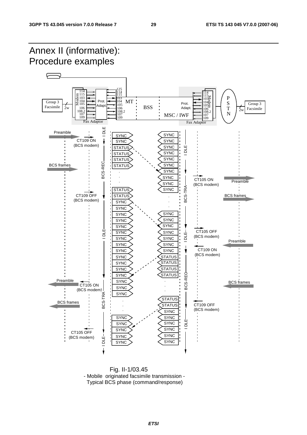

 Fig. II-1/03.45 - Mobile originated facsimile transmission - Typical BCS phase (command/response)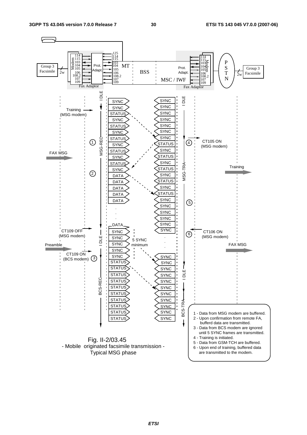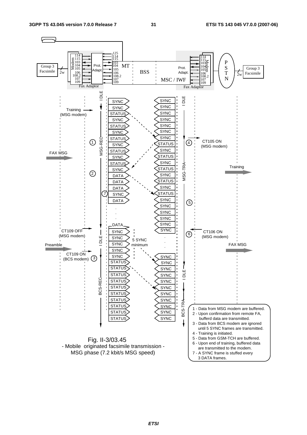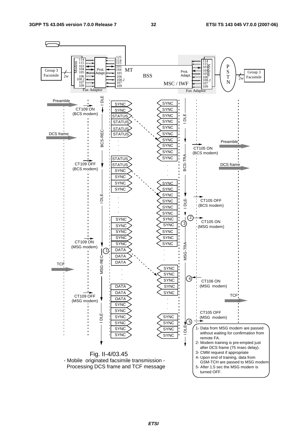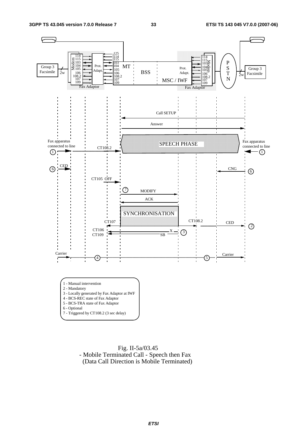

 Fig. II-5a/03.45 - Mobile Terminated Call - Speech then Fax (Data Call Direction is Mobile Terminated)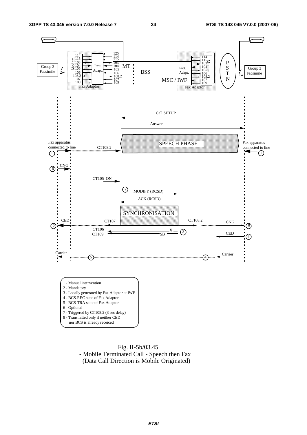

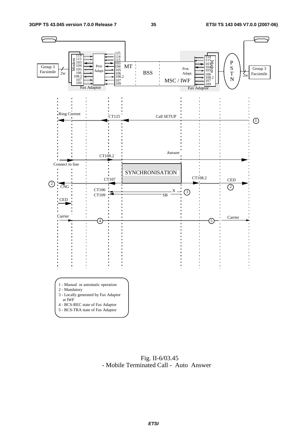

 Fig. II-6/03.45 - Mobile Terminated Call - Auto Answer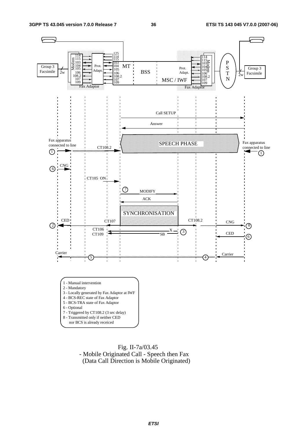

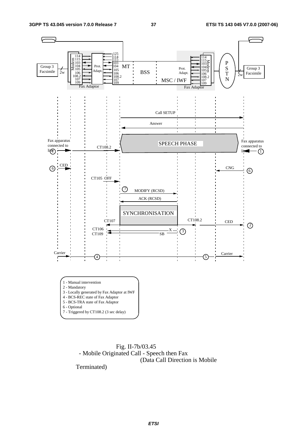



Terminated)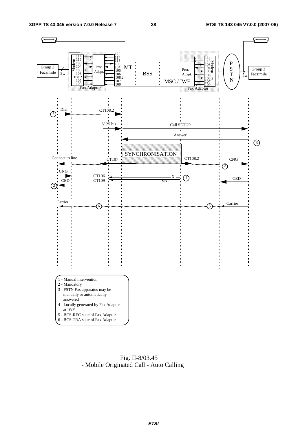

 Fig. II-8/03.45 - Mobile Originated Call - Auto Calling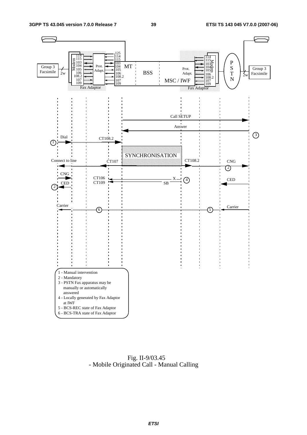

 Fig. II-9/03.45 - Mobile Originated Call - Manual Calling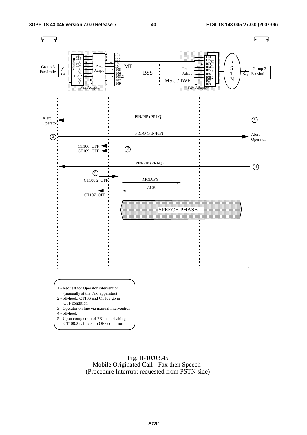

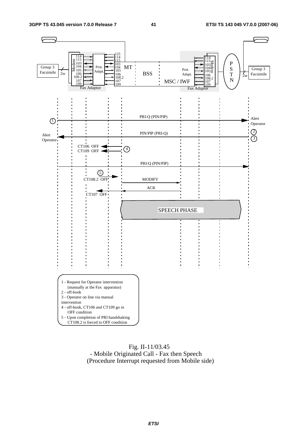

#### Fig. II-11/03.45 - Mobile Originated Call - Fax then Speech (Procedure Interrupt requested from Mobile side)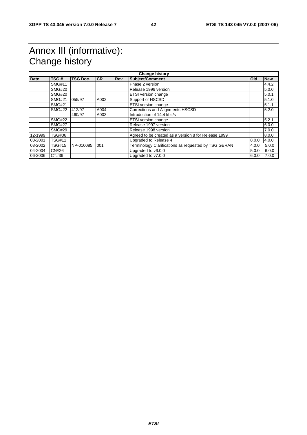## Annex III (informative): Change history

| <b>Date</b> | TSG#          | <b>TSG Doc.</b> | <b>ICR</b> | <b>Rev</b> | Subject/Comment                                      | <b>Old</b> | <b>New</b> |
|-------------|---------------|-----------------|------------|------------|------------------------------------------------------|------------|------------|
|             | <b>SMG#11</b> |                 |            |            | Phase 2 version                                      |            | 4.4.2      |
|             | <b>SMG#20</b> |                 |            |            | Release 1996 version                                 |            | 5.0.0      |
|             | <b>SMG#20</b> |                 |            |            | <b>ETSI</b> version change                           |            | 5.0.1      |
|             | <b>SMG#21</b> | 055/97          | A002       |            | Support of HSCSD                                     |            | 5.1.0      |
|             | <b>SMG#21</b> |                 |            |            | <b>ETSI</b> version change                           |            | 5.1.1      |
|             | <b>SMG#22</b> | 412/97          | A004       |            | Corrections and Alignments HSCSD                     |            | 5.2.0      |
|             |               | 460/97          | A003       |            | Introduction of 14.4 kbit/s                          |            |            |
|             | <b>SMG#22</b> |                 |            |            | <b>ETSI</b> version change                           |            | 5.2.1      |
|             | <b>SMG#27</b> |                 |            |            | Release 1997 version                                 |            | 6.0.0      |
|             | <b>SMG#29</b> |                 |            |            | Release 1998 version                                 |            | 7.0.0      |
| 12-1999     | <b>TSG#06</b> |                 |            |            | Agreed to be created as a version 8 for Release 1999 |            | 8.0.0      |
| 03-2001     | <b>TSG#11</b> |                 |            |            | Upgraded to Release 4                                | 8.0.0      | 4.0.0      |
| 03-2002     | <b>TSG#15</b> | NP-010085       | 001        |            | Terminology Clarifications as requested by TSG GERAN | 4.0.0      | 5.0.0      |
| 04-2004     | <b>CN#26</b>  |                 |            |            | Upgraded to v6.0.0                                   | 5.0.0      | 6.0.0      |
| 06-2006     | CT#36         |                 |            |            | Upgraded to v7.0.0                                   | 6.0.0      | 7.0.0      |